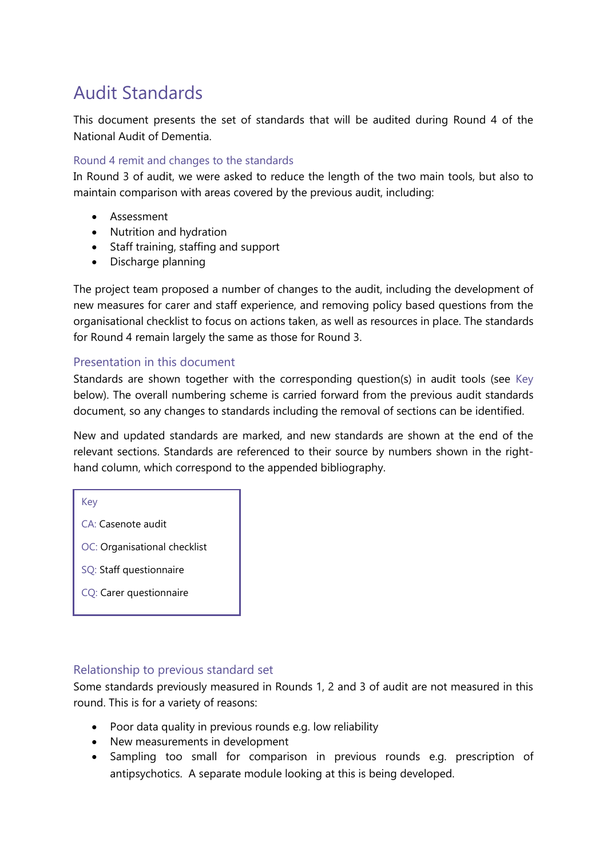# Audit Standards

This document presents the set of standards that will be audited during Round 4 of the National Audit of Dementia.

#### Round 4 remit and changes to the standards

In Round 3 of audit, we were asked to reduce the length of the two main tools, but also to maintain comparison with areas covered by the previous audit, including:

- Assessment
- Nutrition and hydration
- Staff training, staffing and support
- Discharge planning

The project team proposed a number of changes to the audit, including the development of new measures for carer and staff experience, and removing policy based questions from the organisational checklist to focus on actions taken, as well as resources in place. The standards for Round 4 remain largely the same as those for Round 3.

#### Presentation in this document

Standards are shown together with the corresponding question(s) in audit tools (see Key below). The overall numbering scheme is carried forward from the previous audit standards document, so any changes to standards including the removal of sections can be identified.

New and updated standards are marked, and new standards are shown at the end of the relevant sections. Standards are referenced to their source by numbers shown in the righthand column, which correspond to the appended bibliography.

Key

- CA: Casenote audit
- OC: Organisational checklist
- SQ: Staff questionnaire
- CQ: Carer questionnaire

#### Relationship to previous standard set

Some standards previously measured in Rounds 1, 2 and 3 of audit are not measured in this round. This is for a variety of reasons:

- Poor data quality in previous rounds e.g. low reliability
- New measurements in development
- Sampling too small for comparison in previous rounds e.g. prescription of antipsychotics. A separate module looking at this is being developed.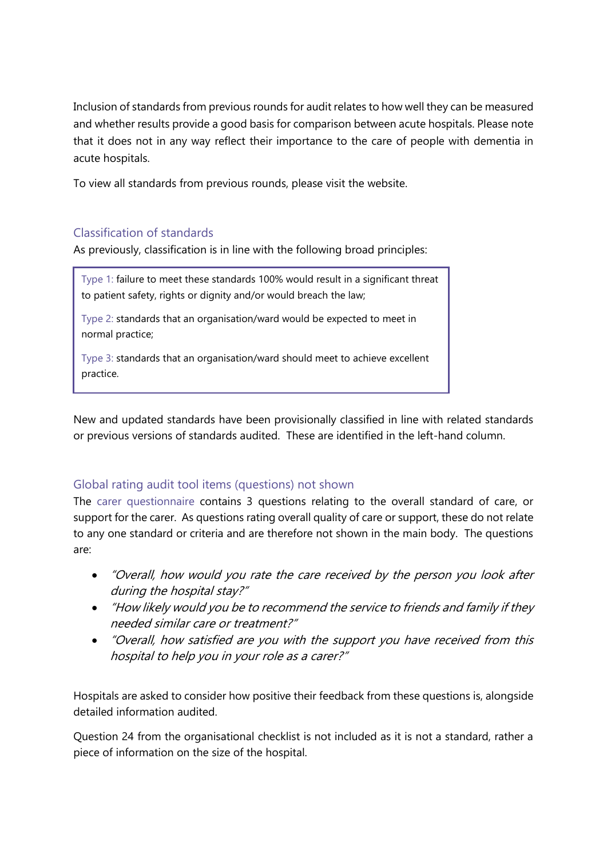Inclusion of standards from previous rounds for audit relates to how well they can be measured and whether results provide a good basis for comparison between acute hospitals. Please note that it does not in any way reflect their importance to the care of people with dementia in acute hospitals.

To view all standards from previous rounds, please visit the website.

### Classification of standards

As previously, classification is in line with the following broad principles:

Type 1: failure to meet these standards 100% would result in a significant threat to patient safety, rights or dignity and/or would breach the law;

Type 2: standards that an organisation/ward would be expected to meet in normal practice;

Type 3: standards that an organisation/ward should meet to achieve excellent practice.

New and updated standards have been provisionally classified in line with related standards or previous versions of standards audited. These are identified in the left-hand column.

### Global rating audit tool items (questions) not shown

The carer questionnaire contains 3 questions relating to the overall standard of care, or support for the carer. As questions rating overall quality of care or support, these do not relate to any one standard or criteria and are therefore not shown in the main body. The questions are:

- "Overall, how would you rate the care received by the person you look after during the hospital stay?"
- "How likely would you be to recommend the service to friends and family if they needed similar care or treatment?"
- "Overall, how satisfied are you with the support you have received from this hospital to help you in your role as a carer?"

Hospitals are asked to consider how positive their feedback from these questions is, alongside detailed information audited.

Question 24 from the organisational checklist is not included as it is not a standard, rather a piece of information on the size of the hospital.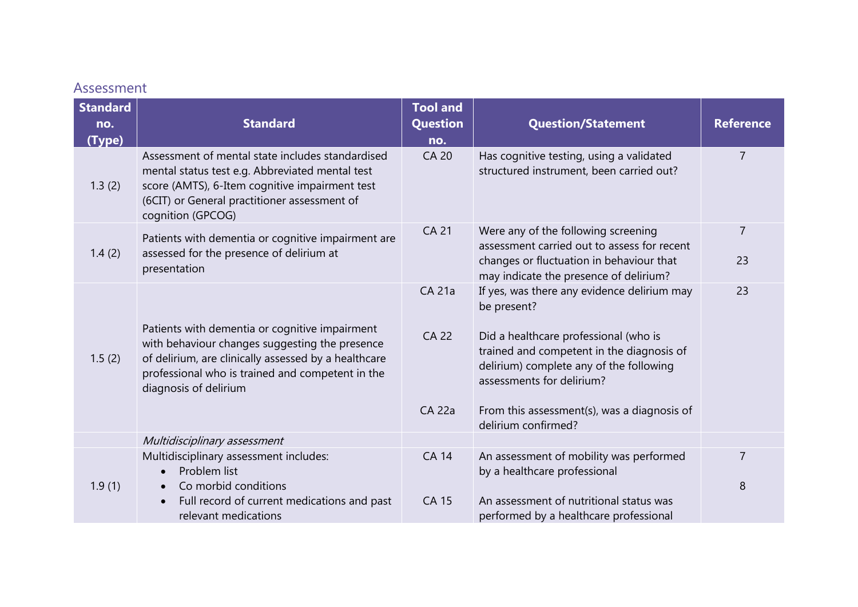### Assessment

| <b>Standard</b> |                                                                                                                                                                                                                                       | <b>Tool and</b>                                |                                                                                                                                                                                                                                                                                                |                     |
|-----------------|---------------------------------------------------------------------------------------------------------------------------------------------------------------------------------------------------------------------------------------|------------------------------------------------|------------------------------------------------------------------------------------------------------------------------------------------------------------------------------------------------------------------------------------------------------------------------------------------------|---------------------|
| no.             | <b>Standard</b>                                                                                                                                                                                                                       | <b>Question</b>                                | <b>Question/Statement</b>                                                                                                                                                                                                                                                                      | <b>Reference</b>    |
| (Type)          |                                                                                                                                                                                                                                       | no.                                            |                                                                                                                                                                                                                                                                                                |                     |
| 1.3(2)          | Assessment of mental state includes standardised<br>mental status test e.g. Abbreviated mental test<br>score (AMTS), 6-Item cognitive impairment test<br>(6CIT) or General practitioner assessment of<br>cognition (GPCOG)            | <b>CA 20</b>                                   | Has cognitive testing, using a validated<br>structured instrument, been carried out?                                                                                                                                                                                                           | $\overline{7}$      |
| 1.4(2)          | Patients with dementia or cognitive impairment are<br>assessed for the presence of delirium at<br>presentation                                                                                                                        | <b>CA 21</b>                                   | Were any of the following screening<br>assessment carried out to assess for recent<br>changes or fluctuation in behaviour that<br>may indicate the presence of delirium?                                                                                                                       | 7<br>23             |
| 1.5(2)          | Patients with dementia or cognitive impairment<br>with behaviour changes suggesting the presence<br>of delirium, are clinically assessed by a healthcare<br>professional who is trained and competent in the<br>diagnosis of delirium | <b>CA 21a</b><br><b>CA 22</b><br><b>CA 22a</b> | If yes, was there any evidence delirium may<br>be present?<br>Did a healthcare professional (who is<br>trained and competent in the diagnosis of<br>delirium) complete any of the following<br>assessments for delirium?<br>From this assessment(s), was a diagnosis of<br>delirium confirmed? | 23                  |
|                 | Multidisciplinary assessment                                                                                                                                                                                                          |                                                |                                                                                                                                                                                                                                                                                                |                     |
| 1.9(1)          | Multidisciplinary assessment includes:<br>Problem list<br>$\bullet$<br>Co morbid conditions                                                                                                                                           | <b>CA 14</b>                                   | An assessment of mobility was performed<br>by a healthcare professional                                                                                                                                                                                                                        | $\overline{7}$<br>8 |
|                 | Full record of current medications and past<br>relevant medications                                                                                                                                                                   | <b>CA 15</b>                                   | An assessment of nutritional status was<br>performed by a healthcare professional                                                                                                                                                                                                              |                     |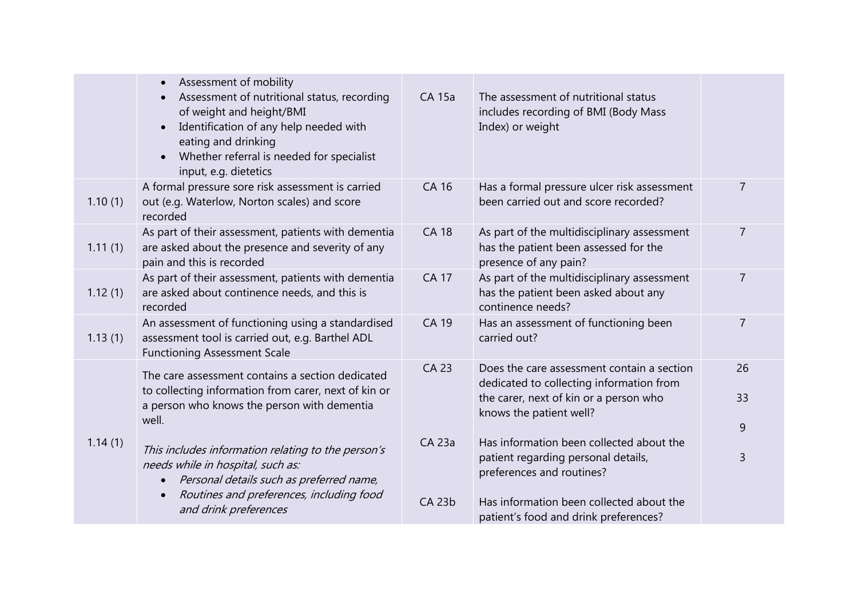|         | Assessment of mobility<br>Assessment of nutritional status, recording<br>of weight and height/BMI<br>Identification of any help needed with<br>$\bullet$<br>eating and drinking<br>Whether referral is needed for specialist<br>$\bullet$<br>input, e.g. dietetics | <b>CA 15a</b>           | The assessment of nutritional status<br>includes recording of BMI (Body Mass<br>Index) or weight                                                            |                |
|---------|--------------------------------------------------------------------------------------------------------------------------------------------------------------------------------------------------------------------------------------------------------------------|-------------------------|-------------------------------------------------------------------------------------------------------------------------------------------------------------|----------------|
| 1.10(1) | A formal pressure sore risk assessment is carried<br>out (e.g. Waterlow, Norton scales) and score<br>recorded                                                                                                                                                      | <b>CA 16</b>            | Has a formal pressure ulcer risk assessment<br>been carried out and score recorded?                                                                         | $\overline{7}$ |
| 1.11(1) | As part of their assessment, patients with dementia<br>are asked about the presence and severity of any<br>pain and this is recorded                                                                                                                               | <b>CA 18</b>            | As part of the multidisciplinary assessment<br>has the patient been assessed for the<br>presence of any pain?                                               | $\overline{7}$ |
| 1.12(1) | As part of their assessment, patients with dementia<br>are asked about continence needs, and this is<br>recorded                                                                                                                                                   | <b>CA 17</b>            | As part of the multidisciplinary assessment<br>has the patient been asked about any<br>continence needs?                                                    | $\overline{7}$ |
| 1.13(1) | An assessment of functioning using a standardised<br>assessment tool is carried out, e.g. Barthel ADL<br><b>Functioning Assessment Scale</b>                                                                                                                       | <b>CA 19</b>            | Has an assessment of functioning been<br>carried out?                                                                                                       | $\overline{7}$ |
|         | The care assessment contains a section dedicated<br>to collecting information from carer, next of kin or<br>a person who knows the person with dementia<br>well.                                                                                                   | <b>CA 23</b>            | Does the care assessment contain a section<br>dedicated to collecting information from<br>the carer, next of kin or a person who<br>knows the patient well? | 26<br>33<br>9  |
| 1.14(1) | This includes information relating to the person's<br>needs while in hospital, such as:<br>Personal details such as preferred name,<br>$\bullet$<br>Routines and preferences, including food<br>$\bullet$<br>and drink preferences                                 | CA 23a<br><b>CA 23b</b> | Has information been collected about the<br>patient regarding personal details,<br>preferences and routines?<br>Has information been collected about the    | 3              |
|         |                                                                                                                                                                                                                                                                    |                         | patient's food and drink preferences?                                                                                                                       |                |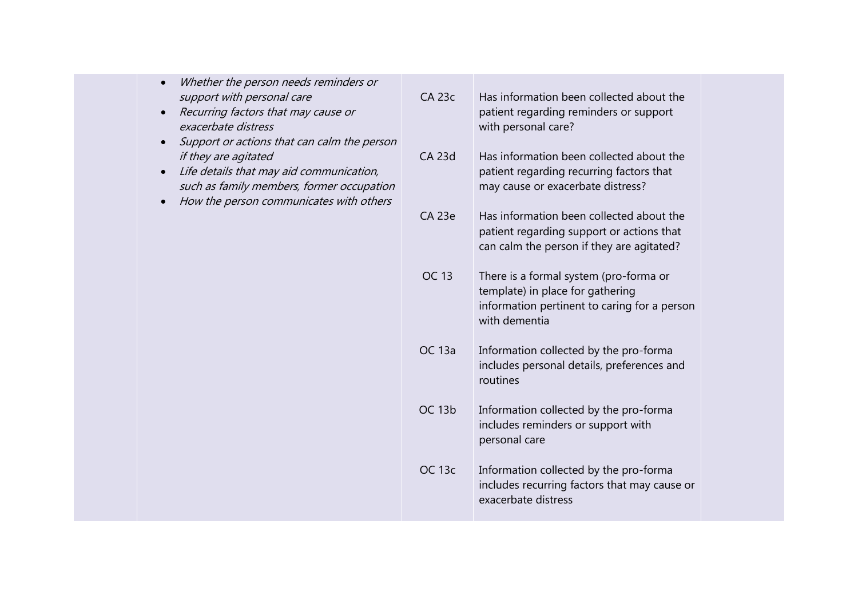| <b>CA 23c</b>                               | Has information been collected about the<br>patient regarding reminders or support<br>with personal care?                                   |  |
|---------------------------------------------|---------------------------------------------------------------------------------------------------------------------------------------------|--|
| <b>CA 23d</b>                               | Has information been collected about the<br>patient regarding recurring factors that<br>may cause or exacerbate distress?                   |  |
| <b>CA 23e</b>                               | Has information been collected about the<br>patient regarding support or actions that<br>can calm the person if they are agitated?          |  |
| <b>OC 13</b>                                | There is a formal system (pro-forma or<br>template) in place for gathering<br>information pertinent to caring for a person<br>with dementia |  |
| <b>OC 13a</b>                               | Information collected by the pro-forma<br>includes personal details, preferences and<br>routines                                            |  |
| <b>OC 13b</b>                               | Information collected by the pro-forma<br>includes reminders or support with<br>personal care                                               |  |
| <b>OC 13c</b>                               | Information collected by the pro-forma<br>includes recurring factors that may cause or<br>exacerbate distress                               |  |
| Support or actions that can calm the person |                                                                                                                                             |  |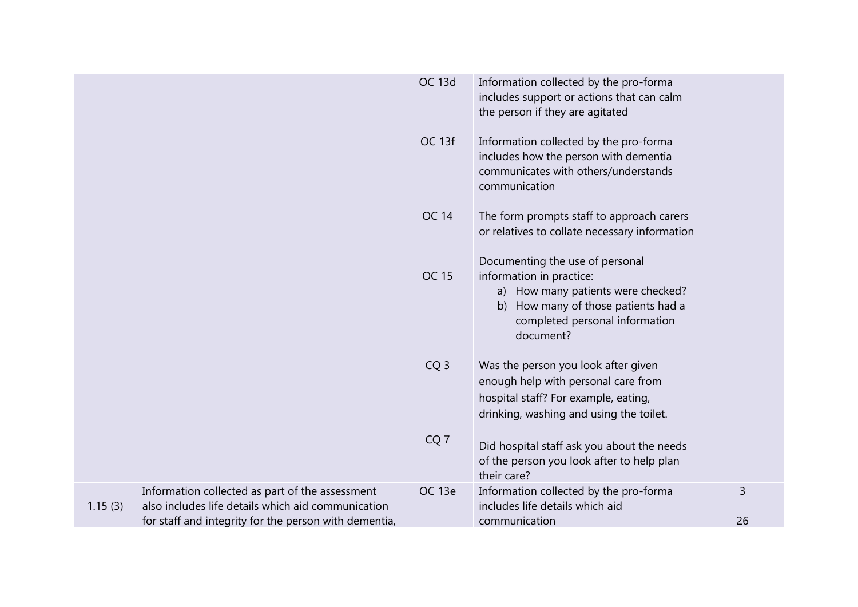|         |                                                                                                                                                                | <b>OC 13d</b>   | Information collected by the pro-forma<br>includes support or actions that can calm<br>the person if they are agitated                                                                  |         |
|---------|----------------------------------------------------------------------------------------------------------------------------------------------------------------|-----------------|-----------------------------------------------------------------------------------------------------------------------------------------------------------------------------------------|---------|
|         |                                                                                                                                                                | OC 13f          | Information collected by the pro-forma<br>includes how the person with dementia<br>communicates with others/understands<br>communication                                                |         |
|         |                                                                                                                                                                | <b>OC 14</b>    | The form prompts staff to approach carers<br>or relatives to collate necessary information                                                                                              |         |
|         |                                                                                                                                                                | <b>OC 15</b>    | Documenting the use of personal<br>information in practice:<br>a) How many patients were checked?<br>b) How many of those patients had a<br>completed personal information<br>document? |         |
|         |                                                                                                                                                                | CQ <sub>3</sub> | Was the person you look after given<br>enough help with personal care from<br>hospital staff? For example, eating,<br>drinking, washing and using the toilet.                           |         |
|         |                                                                                                                                                                | CQ <sub>7</sub> | Did hospital staff ask you about the needs<br>of the person you look after to help plan<br>their care?                                                                                  |         |
| 1.15(3) | Information collected as part of the assessment<br>also includes life details which aid communication<br>for staff and integrity for the person with dementia, | OC 13e          | Information collected by the pro-forma<br>includes life details which aid<br>communication                                                                                              | 3<br>26 |
|         |                                                                                                                                                                |                 |                                                                                                                                                                                         |         |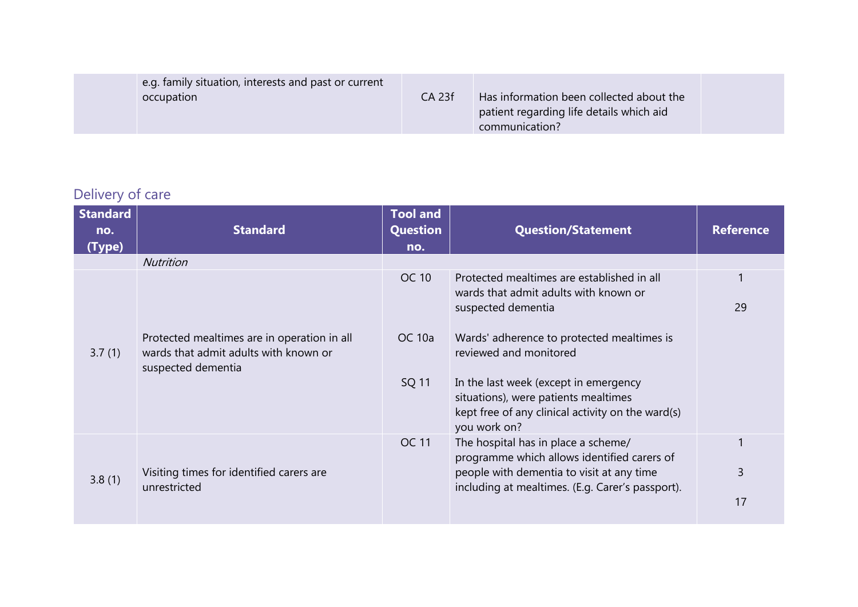| e.g. family situation, interests and past or current<br>occupation | <b>CA 23f</b> | Has information been collected about the<br>patient regarding life details which aid<br>communication? |  |
|--------------------------------------------------------------------|---------------|--------------------------------------------------------------------------------------------------------|--|
|--------------------------------------------------------------------|---------------|--------------------------------------------------------------------------------------------------------|--|

## Delivery of care

| <b>Standard</b><br>no.<br>(Type) | <b>Standard</b>                                                                                            | <b>Tool and</b><br>Question<br>no. | <b>Question/Statement</b>                                                                                                                          | <b>Reference</b> |
|----------------------------------|------------------------------------------------------------------------------------------------------------|------------------------------------|----------------------------------------------------------------------------------------------------------------------------------------------------|------------------|
|                                  | <b>Nutrition</b>                                                                                           |                                    |                                                                                                                                                    |                  |
|                                  |                                                                                                            | <b>OC 10</b>                       | Protected mealtimes are established in all<br>wards that admit adults with known or<br>suspected dementia                                          | 29               |
| 3.7(1)                           | Protected mealtimes are in operation in all<br>wards that admit adults with known or<br>suspected dementia | OC 10a                             | Wards' adherence to protected mealtimes is<br>reviewed and monitored                                                                               |                  |
|                                  |                                                                                                            | SQ 11                              | In the last week (except in emergency<br>situations), were patients mealtimes<br>kept free of any clinical activity on the ward(s)<br>you work on? |                  |
|                                  |                                                                                                            | <b>OC 11</b>                       | The hospital has in place a scheme/<br>programme which allows identified carers of                                                                 |                  |
| 3.8(1)                           | Visiting times for identified carers are<br>unrestricted                                                   |                                    | people with dementia to visit at any time<br>including at mealtimes. (E.g. Carer's passport).                                                      | 3                |
|                                  |                                                                                                            |                                    |                                                                                                                                                    | 17               |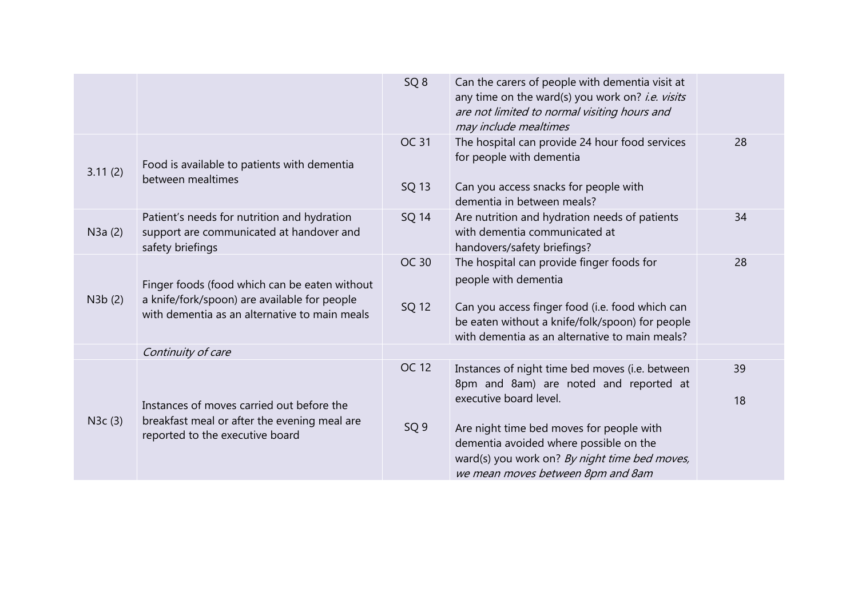|         |                                                                                                                                                | SQ <sub>8</sub>          | Can the carers of people with dementia visit at<br>any time on the ward(s) you work on? i.e. visits<br>are not limited to normal visiting hours and<br>may include mealtimes                                              |          |
|---------|------------------------------------------------------------------------------------------------------------------------------------------------|--------------------------|---------------------------------------------------------------------------------------------------------------------------------------------------------------------------------------------------------------------------|----------|
| 3.11(2) | Food is available to patients with dementia<br>between mealtimes                                                                               | <b>OC 31</b><br>SQ 13    | The hospital can provide 24 hour food services<br>for people with dementia<br>Can you access snacks for people with<br>dementia in between meals?                                                                         | 28       |
| N3a(2)  | Patient's needs for nutrition and hydration<br>support are communicated at handover and<br>safety briefings                                    | SQ 14                    | Are nutrition and hydration needs of patients<br>with dementia communicated at<br>handovers/safety briefings?                                                                                                             | 34       |
| N3b(2)  | Finger foods (food which can be eaten without<br>a knife/fork/spoon) are available for people<br>with dementia as an alternative to main meals | <b>OC 30</b><br>SQ 12    | The hospital can provide finger foods for<br>people with dementia<br>Can you access finger food (i.e. food which can<br>be eaten without a knife/folk/spoon) for people<br>with dementia as an alternative to main meals? | 28       |
|         | Continuity of care                                                                                                                             |                          |                                                                                                                                                                                                                           |          |
| N3c(3)  | Instances of moves carried out before the<br>breakfast meal or after the evening meal are                                                      | OC 12<br>SQ <sub>9</sub> | Instances of night time bed moves (i.e. between<br>8pm and 8am) are noted and reported at<br>executive board level.<br>Are night time bed moves for people with                                                           | 39<br>18 |
|         | reported to the executive board                                                                                                                |                          | dementia avoided where possible on the<br>ward(s) you work on? By night time bed moves,<br>we mean moves between 8pm and 8am                                                                                              |          |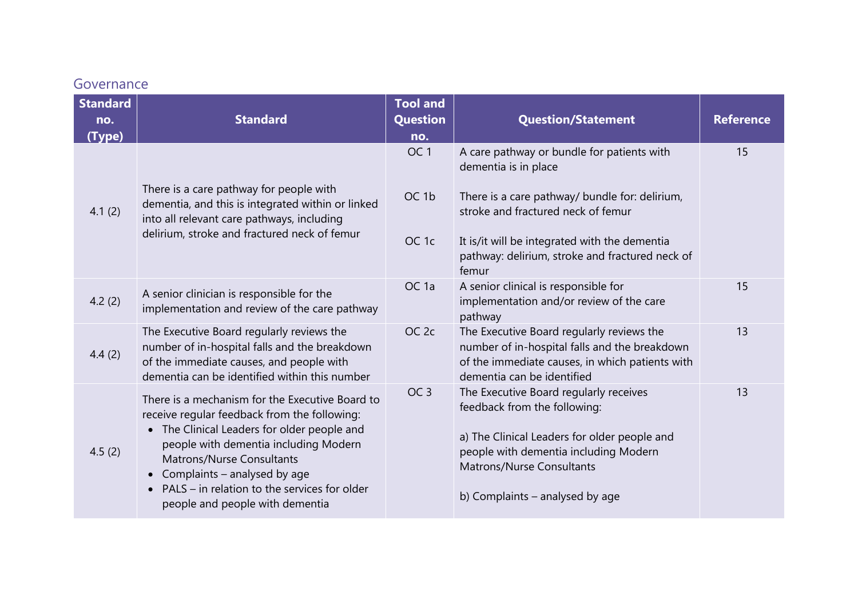### Governance

| <b>Standard</b> |                                                                                                                                                                                                                                                                                                                                                      | <b>Tool and</b>        |                                                                                                                                                                                                                                 |                  |
|-----------------|------------------------------------------------------------------------------------------------------------------------------------------------------------------------------------------------------------------------------------------------------------------------------------------------------------------------------------------------------|------------------------|---------------------------------------------------------------------------------------------------------------------------------------------------------------------------------------------------------------------------------|------------------|
| no.<br>(Type)   | <b>Standard</b>                                                                                                                                                                                                                                                                                                                                      | <b>Question</b><br>no. | <b>Question/Statement</b>                                                                                                                                                                                                       | <b>Reference</b> |
|                 |                                                                                                                                                                                                                                                                                                                                                      | OC <sub>1</sub>        | A care pathway or bundle for patients with<br>dementia is in place                                                                                                                                                              | 15               |
| 4.1(2)          | There is a care pathway for people with<br>dementia, and this is integrated within or linked<br>into all relevant care pathways, including                                                                                                                                                                                                           | OC <sub>1b</sub>       | There is a care pathway/ bundle for: delirium,<br>stroke and fractured neck of femur                                                                                                                                            |                  |
|                 | delirium, stroke and fractured neck of femur                                                                                                                                                                                                                                                                                                         | OC <sub>1c</sub>       | It is/it will be integrated with the dementia<br>pathway: delirium, stroke and fractured neck of<br>femur                                                                                                                       |                  |
| 4.2(2)          | A senior clinician is responsible for the<br>implementation and review of the care pathway                                                                                                                                                                                                                                                           | OC <sub>1a</sub>       | A senior clinical is responsible for<br>implementation and/or review of the care<br>pathway                                                                                                                                     | 15               |
| 4.4(2)          | The Executive Board regularly reviews the<br>number of in-hospital falls and the breakdown<br>of the immediate causes, and people with<br>dementia can be identified within this number                                                                                                                                                              | OC <sub>2c</sub>       | The Executive Board regularly reviews the<br>number of in-hospital falls and the breakdown<br>of the immediate causes, in which patients with<br>dementia can be identified                                                     | 13               |
| 4.5(2)          | There is a mechanism for the Executive Board to<br>receive regular feedback from the following:<br>• The Clinical Leaders for older people and<br>people with dementia including Modern<br>Matrons/Nurse Consultants<br>Complaints - analysed by age<br>PALS - in relation to the services for older<br>$\bullet$<br>people and people with dementia | OC <sub>3</sub>        | The Executive Board regularly receives<br>feedback from the following:<br>a) The Clinical Leaders for older people and<br>people with dementia including Modern<br>Matrons/Nurse Consultants<br>b) Complaints - analysed by age | 13               |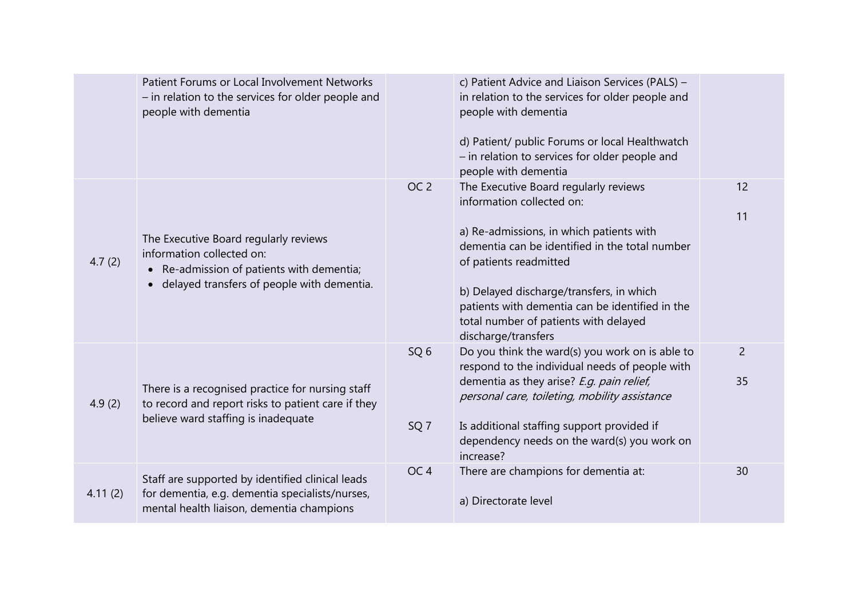|         | Patient Forums or Local Involvement Networks<br>- in relation to the services for older people and<br>people with dementia                                  |                                    | c) Patient Advice and Liaison Services (PALS) -<br>in relation to the services for older people and<br>people with dementia<br>d) Patient/ public Forums or local Healthwatch<br>- in relation to services for older people and<br>people with dementia                                                                                                   |                      |
|---------|-------------------------------------------------------------------------------------------------------------------------------------------------------------|------------------------------------|-----------------------------------------------------------------------------------------------------------------------------------------------------------------------------------------------------------------------------------------------------------------------------------------------------------------------------------------------------------|----------------------|
| 4.7(2)  | The Executive Board regularly reviews<br>information collected on:<br>Re-admission of patients with dementia;<br>delayed transfers of people with dementia. | OC <sub>2</sub>                    | The Executive Board regularly reviews<br>information collected on:<br>a) Re-admissions, in which patients with<br>dementia can be identified in the total number<br>of patients readmitted<br>b) Delayed discharge/transfers, in which<br>patients with dementia can be identified in the<br>total number of patients with delayed<br>discharge/transfers | 12<br>11             |
| 4.9(2)  | There is a recognised practice for nursing staff<br>to record and report risks to patient care if they<br>believe ward staffing is inadequate               | SQ <sub>6</sub><br>SQ <sub>7</sub> | Do you think the ward(s) you work on is able to<br>respond to the individual needs of people with<br>dementia as they arise? E.g. pain relief,<br>personal care, toileting, mobility assistance<br>Is additional staffing support provided if<br>dependency needs on the ward(s) you work on<br>increase?                                                 | $\overline{2}$<br>35 |
| 4.11(2) | Staff are supported by identified clinical leads<br>for dementia, e.g. dementia specialists/nurses,<br>mental health liaison, dementia champions            | OC <sub>4</sub>                    | There are champions for dementia at:<br>a) Directorate level                                                                                                                                                                                                                                                                                              | 30                   |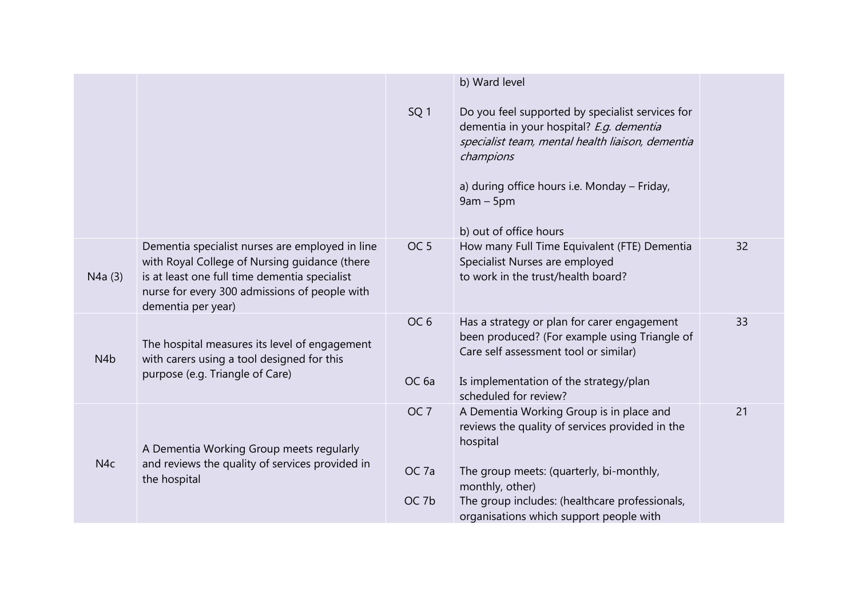|                  |                                                                                                                                                                                                                          |                                     | b) Ward level                                                                                                                                                                                                                                          |    |
|------------------|--------------------------------------------------------------------------------------------------------------------------------------------------------------------------------------------------------------------------|-------------------------------------|--------------------------------------------------------------------------------------------------------------------------------------------------------------------------------------------------------------------------------------------------------|----|
|                  |                                                                                                                                                                                                                          | SQ <sub>1</sub>                     | Do you feel supported by specialist services for<br>dementia in your hospital? E.g. dementia<br>specialist team, mental health liaison, dementia<br>champions<br>a) during office hours i.e. Monday - Friday,<br>$9am - 5pm$<br>b) out of office hours |    |
| N4a(3)           | Dementia specialist nurses are employed in line<br>with Royal College of Nursing guidance (there<br>is at least one full time dementia specialist<br>nurse for every 300 admissions of people with<br>dementia per year) | OC <sub>5</sub>                     | How many Full Time Equivalent (FTE) Dementia<br>Specialist Nurses are employed<br>to work in the trust/health board?                                                                                                                                   | 32 |
| N <sub>4</sub> b | The hospital measures its level of engagement<br>with carers using a tool designed for this<br>purpose (e.g. Triangle of Care)                                                                                           | OC <sub>6</sub><br>OC <sub>6a</sub> | Has a strategy or plan for carer engagement<br>been produced? (For example using Triangle of<br>Care self assessment tool or similar)<br>Is implementation of the strategy/plan<br>scheduled for review?                                               | 33 |
| N <sub>4c</sub>  | A Dementia Working Group meets regularly<br>and reviews the quality of services provided in<br>the hospital                                                                                                              | OC <sub>7</sub><br>OC <sub>7a</sub> | A Dementia Working Group is in place and<br>reviews the quality of services provided in the<br>hospital<br>The group meets: (quarterly, bi-monthly,                                                                                                    | 21 |
|                  |                                                                                                                                                                                                                          | OC <sub>7b</sub>                    | monthly, other)<br>The group includes: (healthcare professionals,<br>organisations which support people with                                                                                                                                           |    |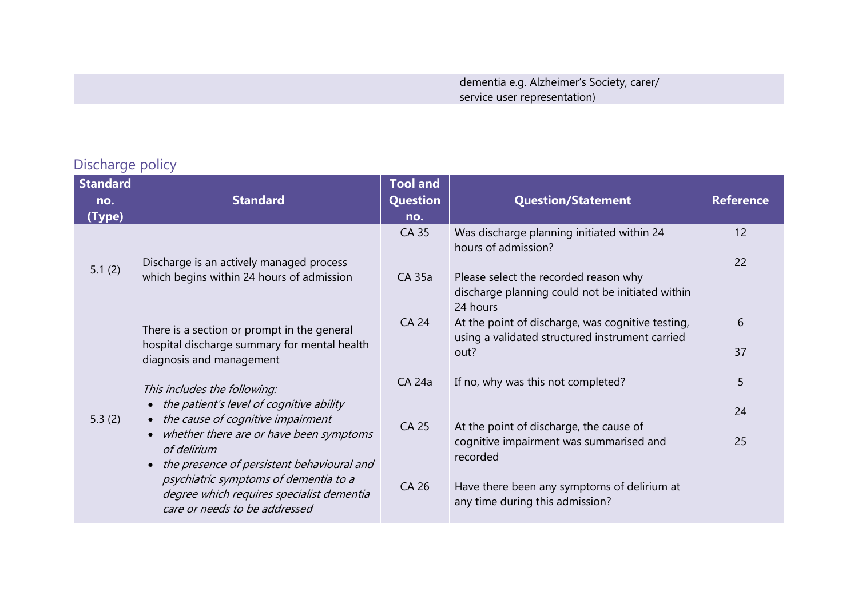## Discharge policy

| <b>Standard</b><br>no.<br>(Type) | <b>Standard</b>                                                                                                                                                                                                                                                    | <b>Tool and</b><br><b>Question</b><br>no. | <b>Question/Statement</b>                                                                                                                                                           | <b>Reference</b> |
|----------------------------------|--------------------------------------------------------------------------------------------------------------------------------------------------------------------------------------------------------------------------------------------------------------------|-------------------------------------------|-------------------------------------------------------------------------------------------------------------------------------------------------------------------------------------|------------------|
| 5.1(2)                           | Discharge is an actively managed process<br>which begins within 24 hours of admission                                                                                                                                                                              | <b>CA 35</b><br>CA 35a                    | Was discharge planning initiated within 24<br>hours of admission?<br>Please select the recorded reason why<br>discharge planning could not be initiated within<br>24 hours          | 12<br>22         |
|                                  | There is a section or prompt in the general<br>hospital discharge summary for mental health<br>diagnosis and management                                                                                                                                            | <b>CA 24</b>                              | At the point of discharge, was cognitive testing,<br>using a validated structured instrument carried<br>out?                                                                        | 6<br>37          |
| 5.3(2)                           | This includes the following:<br>• the patient's level of cognitive ability<br>• the cause of cognitive impairment<br>whether there are or have been symptoms<br>of delirium<br>the presence of persistent behavioural and<br>psychiatric symptoms of dementia to a | CA 24a<br>CA 25<br>CA 26                  | If no, why was this not completed?<br>At the point of discharge, the cause of<br>cognitive impairment was summarised and<br>recorded<br>Have there been any symptoms of delirium at | 5<br>24<br>25    |
|                                  | degree which requires specialist dementia<br>care or needs to be addressed                                                                                                                                                                                         |                                           | any time during this admission?                                                                                                                                                     |                  |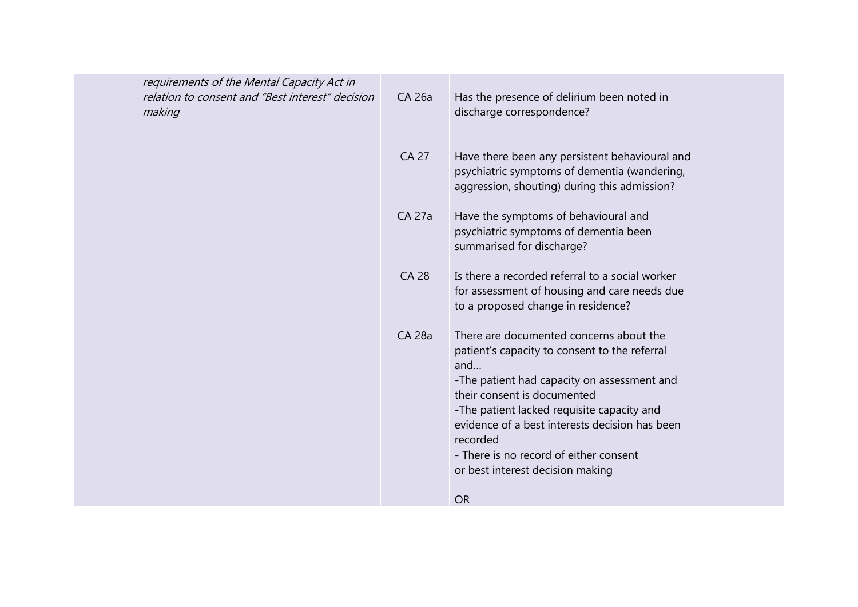| requirements of the Mental Capacity Act in<br>relation to consent and "Best interest" decision<br>making | CA 26a        | Has the presence of delirium been noted in<br>discharge correspondence?                                                                                                                                                                                                                                                                                                 |  |
|----------------------------------------------------------------------------------------------------------|---------------|-------------------------------------------------------------------------------------------------------------------------------------------------------------------------------------------------------------------------------------------------------------------------------------------------------------------------------------------------------------------------|--|
|                                                                                                          | <b>CA 27</b>  | Have there been any persistent behavioural and<br>psychiatric symptoms of dementia (wandering,<br>aggression, shouting) during this admission?                                                                                                                                                                                                                          |  |
|                                                                                                          | <b>CA 27a</b> | Have the symptoms of behavioural and<br>psychiatric symptoms of dementia been<br>summarised for discharge?                                                                                                                                                                                                                                                              |  |
|                                                                                                          | <b>CA 28</b>  | Is there a recorded referral to a social worker<br>for assessment of housing and care needs due<br>to a proposed change in residence?                                                                                                                                                                                                                                   |  |
|                                                                                                          | <b>CA 28a</b> | There are documented concerns about the<br>patient's capacity to consent to the referral<br>and<br>-The patient had capacity on assessment and<br>their consent is documented<br>-The patient lacked requisite capacity and<br>evidence of a best interests decision has been<br>recorded<br>- There is no record of either consent<br>or best interest decision making |  |
|                                                                                                          |               | <b>OR</b>                                                                                                                                                                                                                                                                                                                                                               |  |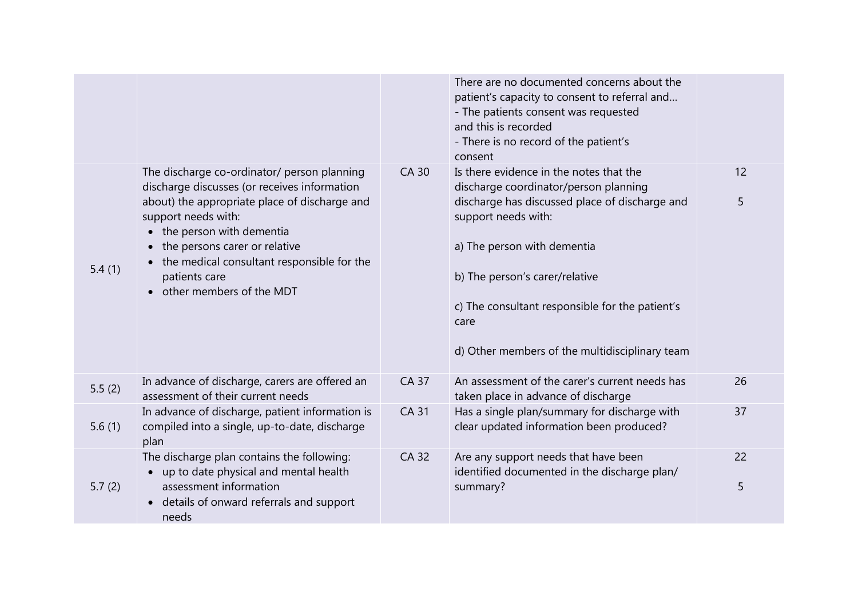|        |                                                                                                                                                                                                                                                                                                                               |              | There are no documented concerns about the<br>patient's capacity to consent to referral and<br>- The patients consent was requested<br>and this is recorded<br>- There is no record of the patient's<br>consent                                                                                                                         |         |
|--------|-------------------------------------------------------------------------------------------------------------------------------------------------------------------------------------------------------------------------------------------------------------------------------------------------------------------------------|--------------|-----------------------------------------------------------------------------------------------------------------------------------------------------------------------------------------------------------------------------------------------------------------------------------------------------------------------------------------|---------|
| 5.4(1) | The discharge co-ordinator/ person planning<br>discharge discusses (or receives information<br>about) the appropriate place of discharge and<br>support needs with:<br>• the person with dementia<br>the persons carer or relative<br>the medical consultant responsible for the<br>patients care<br>other members of the MDT | <b>CA 30</b> | Is there evidence in the notes that the<br>discharge coordinator/person planning<br>discharge has discussed place of discharge and<br>support needs with:<br>a) The person with dementia<br>b) The person's carer/relative<br>c) The consultant responsible for the patient's<br>care<br>d) Other members of the multidisciplinary team | 12<br>5 |
| 5.5(2) | In advance of discharge, carers are offered an<br>assessment of their current needs                                                                                                                                                                                                                                           | <b>CA 37</b> | An assessment of the carer's current needs has<br>taken place in advance of discharge                                                                                                                                                                                                                                                   | 26      |
| 5.6(1) | In advance of discharge, patient information is<br>compiled into a single, up-to-date, discharge<br>plan                                                                                                                                                                                                                      | <b>CA 31</b> | Has a single plan/summary for discharge with<br>clear updated information been produced?                                                                                                                                                                                                                                                | 37      |
| 5.7(2) | The discharge plan contains the following:<br>up to date physical and mental health<br>assessment information<br>details of onward referrals and support<br>needs                                                                                                                                                             | <b>CA 32</b> | Are any support needs that have been<br>identified documented in the discharge plan/<br>summary?                                                                                                                                                                                                                                        | 22<br>5 |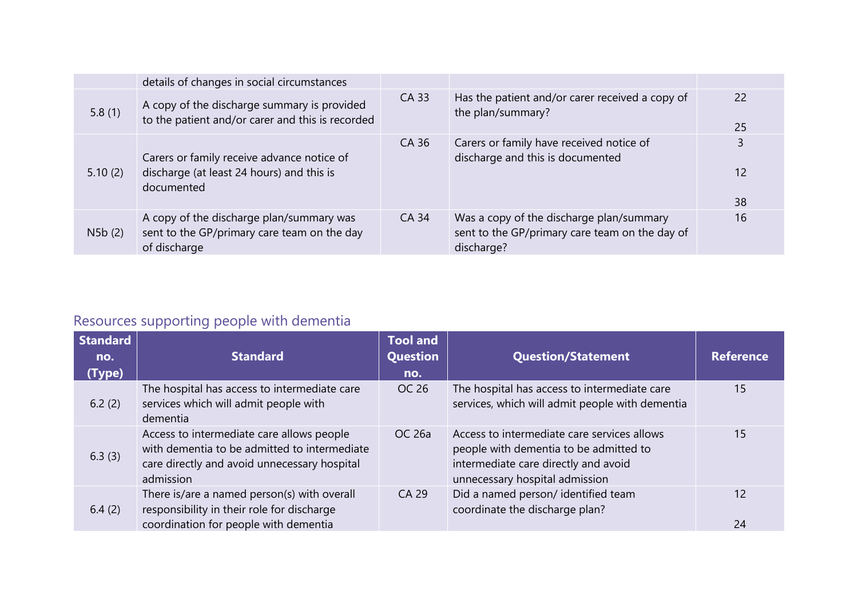|         | details of changes in social circumstances                                                              |       |                                                                                                          |           |
|---------|---------------------------------------------------------------------------------------------------------|-------|----------------------------------------------------------------------------------------------------------|-----------|
| 5.8(1)  | A copy of the discharge summary is provided<br>to the patient and/or carer and this is recorded         | CA 33 | Has the patient and/or carer received a copy of<br>the plan/summary?                                     | -22<br>25 |
| 5.10(2) | Carers or family receive advance notice of<br>discharge (at least 24 hours) and this is<br>documented   | CA 36 | Carers or family have received notice of<br>discharge and this is documented                             | 12<br>38  |
| N5b(2)  | A copy of the discharge plan/summary was<br>sent to the GP/primary care team on the day<br>of discharge | CA 34 | Was a copy of the discharge plan/summary<br>sent to the GP/primary care team on the day of<br>discharge? | 16        |

# Resources supporting people with dementia

| <b>Standard</b><br>no.<br>(Type) | <b>Standard</b>                                                                                                                                        | <b>Tool and</b><br>Question<br>no. | <b>Question/Statement</b>                                                                                                                                       | <b>Reference</b> |
|----------------------------------|--------------------------------------------------------------------------------------------------------------------------------------------------------|------------------------------------|-----------------------------------------------------------------------------------------------------------------------------------------------------------------|------------------|
| 6.2(2)                           | The hospital has access to intermediate care<br>services which will admit people with<br>dementia                                                      | OC 26                              | The hospital has access to intermediate care<br>services, which will admit people with dementia                                                                 | 15               |
| 6.3(3)                           | Access to intermediate care allows people<br>with dementia to be admitted to intermediate<br>care directly and avoid unnecessary hospital<br>admission | OC 26a                             | Access to intermediate care services allows<br>people with dementia to be admitted to<br>intermediate care directly and avoid<br>unnecessary hospital admission | 15               |
| 6.4(2)                           | There is/are a named person(s) with overall<br>responsibility in their role for discharge<br>coordination for people with dementia                     | CA 29                              | Did a named person/ identified team<br>coordinate the discharge plan?                                                                                           | 12<br>24         |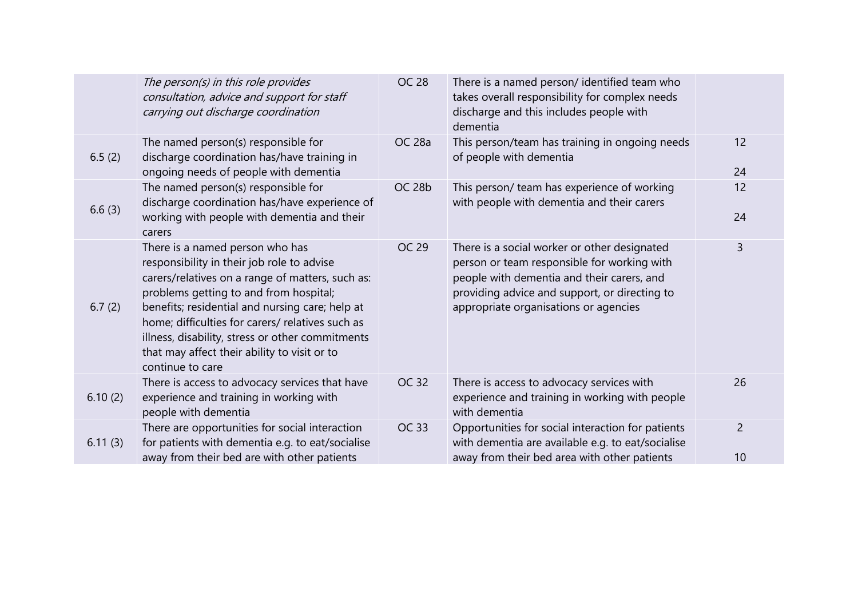|         | The person(s) in this role provides<br>consultation, advice and support for staff<br>carrying out discharge coordination                                                                                                                                                                                                                                                                                   | <b>OC 28</b>      | There is a named person/ identified team who<br>takes overall responsibility for complex needs<br>discharge and this includes people with<br>dementia                                                                               |                      |
|---------|------------------------------------------------------------------------------------------------------------------------------------------------------------------------------------------------------------------------------------------------------------------------------------------------------------------------------------------------------------------------------------------------------------|-------------------|-------------------------------------------------------------------------------------------------------------------------------------------------------------------------------------------------------------------------------------|----------------------|
| 6.5(2)  | The named person(s) responsible for<br>discharge coordination has/have training in<br>ongoing needs of people with dementia                                                                                                                                                                                                                                                                                | <b>OC 28a</b>     | This person/team has training in ongoing needs<br>of people with dementia                                                                                                                                                           | 12<br>24             |
| 6.6(3)  | The named person(s) responsible for<br>discharge coordination has/have experience of<br>working with people with dementia and their<br>carers                                                                                                                                                                                                                                                              | OC <sub>28b</sub> | This person/ team has experience of working<br>with people with dementia and their carers                                                                                                                                           | 12<br>24             |
| 6.7(2)  | There is a named person who has<br>responsibility in their job role to advise<br>carers/relatives on a range of matters, such as:<br>problems getting to and from hospital;<br>benefits; residential and nursing care; help at<br>home; difficulties for carers/ relatives such as<br>illness, disability, stress or other commitments<br>that may affect their ability to visit or to<br>continue to care | OC 29             | There is a social worker or other designated<br>person or team responsible for working with<br>people with dementia and their carers, and<br>providing advice and support, or directing to<br>appropriate organisations or agencies | 3                    |
| 6.10(2) | There is access to advocacy services that have<br>experience and training in working with<br>people with dementia                                                                                                                                                                                                                                                                                          | <b>OC 32</b>      | There is access to advocacy services with<br>experience and training in working with people<br>with dementia                                                                                                                        | 26                   |
| 6.11(3) | There are opportunities for social interaction<br>for patients with dementia e.g. to eat/socialise<br>away from their bed are with other patients                                                                                                                                                                                                                                                          | OC 33             | Opportunities for social interaction for patients<br>with dementia are available e.g. to eat/socialise<br>away from their bed area with other patients                                                                              | $\overline{2}$<br>10 |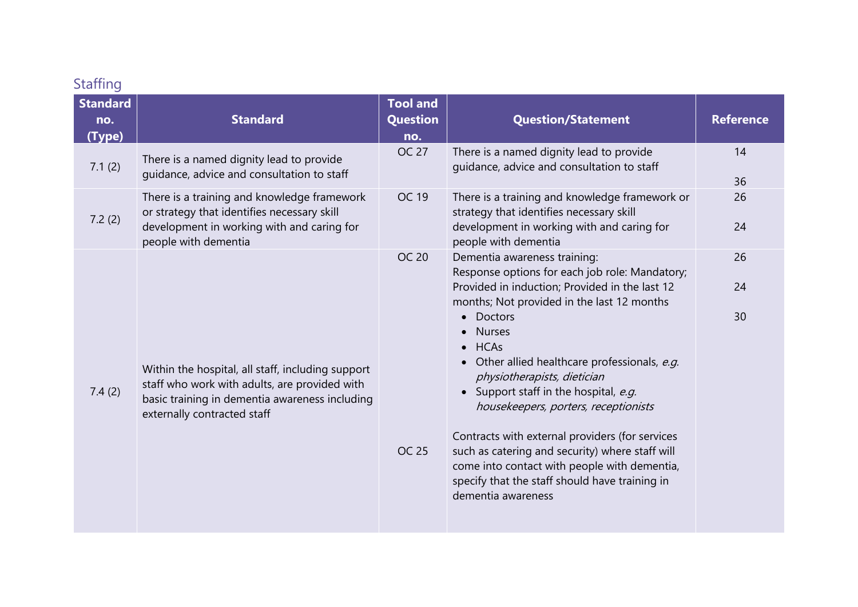## **Staffing**

| <b>Standard</b><br>no.<br>(Type) | <b>Standard</b>                                                                                                                                                                     | <b>Tool and</b><br><b>Question</b><br>no. | <b>Question/Statement</b>                                                                                                                                                                                                                                                                                                                                                                                                                                                                                                                                                                                                                                             | <b>Reference</b> |
|----------------------------------|-------------------------------------------------------------------------------------------------------------------------------------------------------------------------------------|-------------------------------------------|-----------------------------------------------------------------------------------------------------------------------------------------------------------------------------------------------------------------------------------------------------------------------------------------------------------------------------------------------------------------------------------------------------------------------------------------------------------------------------------------------------------------------------------------------------------------------------------------------------------------------------------------------------------------------|------------------|
| 7.1(2)                           | There is a named dignity lead to provide<br>guidance, advice and consultation to staff                                                                                              | <b>OC 27</b>                              | There is a named dignity lead to provide<br>guidance, advice and consultation to staff                                                                                                                                                                                                                                                                                                                                                                                                                                                                                                                                                                                | 14<br>36         |
| 7.2(2)                           | There is a training and knowledge framework<br>or strategy that identifies necessary skill<br>development in working with and caring for<br>people with dementia                    | <b>OC 19</b>                              | There is a training and knowledge framework or<br>strategy that identifies necessary skill<br>development in working with and caring for<br>people with dementia                                                                                                                                                                                                                                                                                                                                                                                                                                                                                                      | 26<br>24         |
| 7.4(2)                           | Within the hospital, all staff, including support<br>staff who work with adults, are provided with<br>basic training in dementia awareness including<br>externally contracted staff | <b>OC 20</b><br><b>OC 25</b>              | Dementia awareness training:<br>Response options for each job role: Mandatory;<br>Provided in induction; Provided in the last 12<br>months; Not provided in the last 12 months<br><b>Doctors</b><br>$\bullet$<br><b>Nurses</b><br>$\bullet$<br>$\bullet$ HCAs<br>Other allied healthcare professionals, e.g.<br>$\bullet$<br>physiotherapists, dietician<br>Support staff in the hospital, e.g.<br>housekeepers, porters, receptionists<br>Contracts with external providers (for services<br>such as catering and security) where staff will<br>come into contact with people with dementia,<br>specify that the staff should have training in<br>dementia awareness | 26<br>24<br>30   |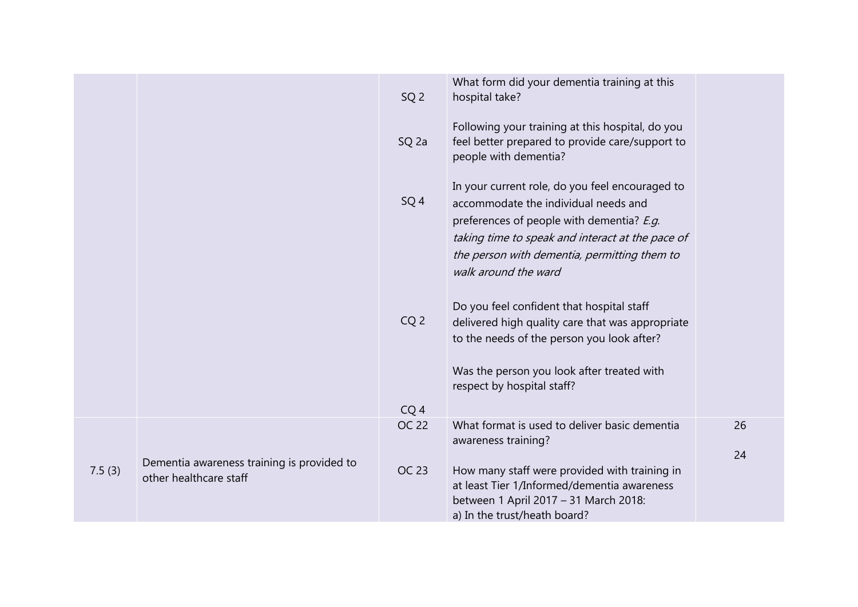|        |                                                                      | SQ <sub>2</sub>                 | What form did your dementia training at this<br>hospital take?                                                                                                                                                                                                   |    |
|--------|----------------------------------------------------------------------|---------------------------------|------------------------------------------------------------------------------------------------------------------------------------------------------------------------------------------------------------------------------------------------------------------|----|
|        |                                                                      | SQ <sub>2a</sub>                | Following your training at this hospital, do you<br>feel better prepared to provide care/support to<br>people with dementia?                                                                                                                                     |    |
|        |                                                                      | SQ <sub>4</sub>                 | In your current role, do you feel encouraged to<br>accommodate the individual needs and<br>preferences of people with dementia? E.g.<br>taking time to speak and interact at the pace of<br>the person with dementia, permitting them to<br>walk around the ward |    |
|        |                                                                      | CQ <sub>2</sub>                 | Do you feel confident that hospital staff<br>delivered high quality care that was appropriate<br>to the needs of the person you look after?<br>Was the person you look after treated with<br>respect by hospital staff?                                          |    |
|        |                                                                      | CQ <sub>4</sub><br><b>OC 22</b> | What format is used to deliver basic dementia                                                                                                                                                                                                                    | 26 |
|        |                                                                      |                                 | awareness training?                                                                                                                                                                                                                                              | 24 |
| 7.5(3) | Dementia awareness training is provided to<br>other healthcare staff | OC 23                           | How many staff were provided with training in<br>at least Tier 1/Informed/dementia awareness<br>between 1 April 2017 - 31 March 2018:<br>a) In the trust/heath board?                                                                                            |    |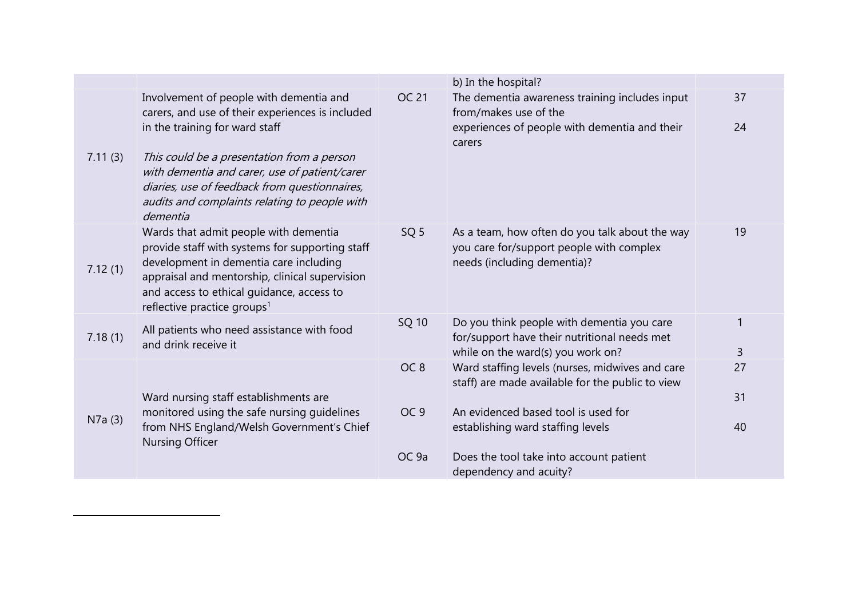|         |                                                                                                                                                                                                                                                                                                                                |                  | b) In the hospital?                                                                                                                |                   |
|---------|--------------------------------------------------------------------------------------------------------------------------------------------------------------------------------------------------------------------------------------------------------------------------------------------------------------------------------|------------------|------------------------------------------------------------------------------------------------------------------------------------|-------------------|
| 7.11(3) | Involvement of people with dementia and<br>carers, and use of their experiences is included<br>in the training for ward staff<br>This could be a presentation from a person<br>with dementia and carer, use of patient/carer<br>diaries, use of feedback from questionnaires,<br>audits and complaints relating to people with | <b>OC 21</b>     | The dementia awareness training includes input<br>from/makes use of the<br>experiences of people with dementia and their<br>carers | 37<br>24          |
|         | dementia                                                                                                                                                                                                                                                                                                                       |                  |                                                                                                                                    |                   |
| 7.12(1) | Wards that admit people with dementia<br>provide staff with systems for supporting staff<br>development in dementia care including<br>appraisal and mentorship, clinical supervision<br>and access to ethical guidance, access to<br>reflective practice groups <sup>1</sup>                                                   | SQ <sub>5</sub>  | As a team, how often do you talk about the way<br>you care for/support people with complex<br>needs (including dementia)?          | 19                |
| 7.18(1) | All patients who need assistance with food<br>and drink receive it                                                                                                                                                                                                                                                             | SQ 10            | Do you think people with dementia you care<br>for/support have their nutritional needs met<br>while on the ward(s) you work on?    | $\mathbf{1}$<br>3 |
|         | Ward nursing staff establishments are                                                                                                                                                                                                                                                                                          | OC <sub>8</sub>  | Ward staffing levels (nurses, midwives and care<br>staff) are made available for the public to view                                | 27<br>31          |
| N7a(3)  | monitored using the safe nursing guidelines<br>from NHS England/Welsh Government's Chief<br>Nursing Officer                                                                                                                                                                                                                    | OC <sub>9</sub>  | An evidenced based tool is used for<br>establishing ward staffing levels                                                           | 40                |
|         |                                                                                                                                                                                                                                                                                                                                | OC <sub>9a</sub> | Does the tool take into account patient<br>dependency and acuity?                                                                  |                   |

 $\overline{a}$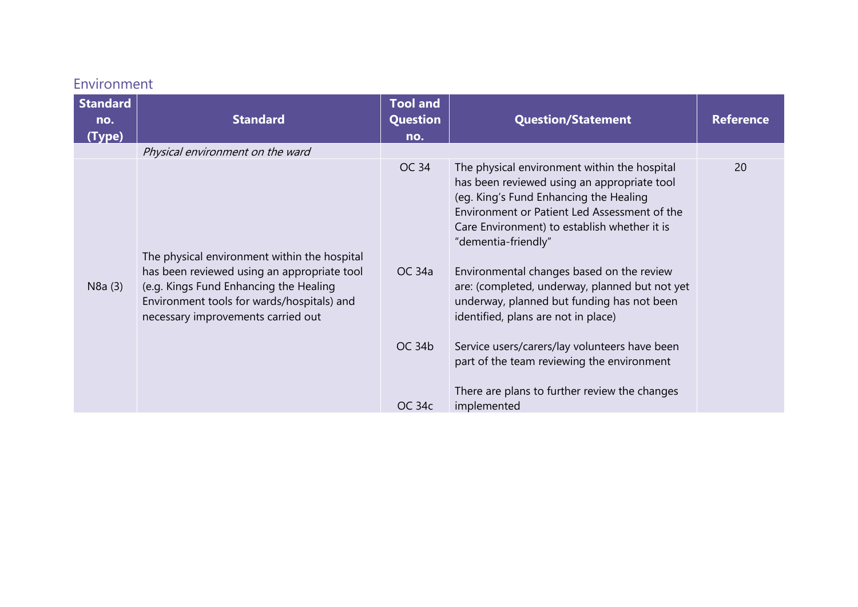## Environment

| <b>Standard</b><br>no.<br>(Type) | <b>Standard</b>                                                                                                                                                           | <b>Tool and</b><br>Question<br>no. | <b>Question/Statement</b>                                                                                                                                                                                    | <b>Reference</b> |
|----------------------------------|---------------------------------------------------------------------------------------------------------------------------------------------------------------------------|------------------------------------|--------------------------------------------------------------------------------------------------------------------------------------------------------------------------------------------------------------|------------------|
|                                  | Physical environment on the ward                                                                                                                                          | OC 34                              | The physical environment within the hospital                                                                                                                                                                 | 20               |
|                                  | The physical environment within the hospital                                                                                                                              |                                    | has been reviewed using an appropriate tool<br>(eg. King's Fund Enhancing the Healing<br>Environment or Patient Led Assessment of the<br>Care Environment) to establish whether it is<br>"dementia-friendly" |                  |
| N8a(3)                           | has been reviewed using an appropriate tool<br>(e.g. Kings Fund Enhancing the Healing<br>Environment tools for wards/hospitals) and<br>necessary improvements carried out | OC 34a                             | Environmental changes based on the review<br>are: (completed, underway, planned but not yet<br>underway, planned but funding has not been<br>identified, plans are not in place)                             |                  |
|                                  |                                                                                                                                                                           | OC 34b                             | Service users/carers/lay volunteers have been<br>part of the team reviewing the environment<br>There are plans to further review the changes                                                                 |                  |
|                                  |                                                                                                                                                                           | OC 34c                             | implemented                                                                                                                                                                                                  |                  |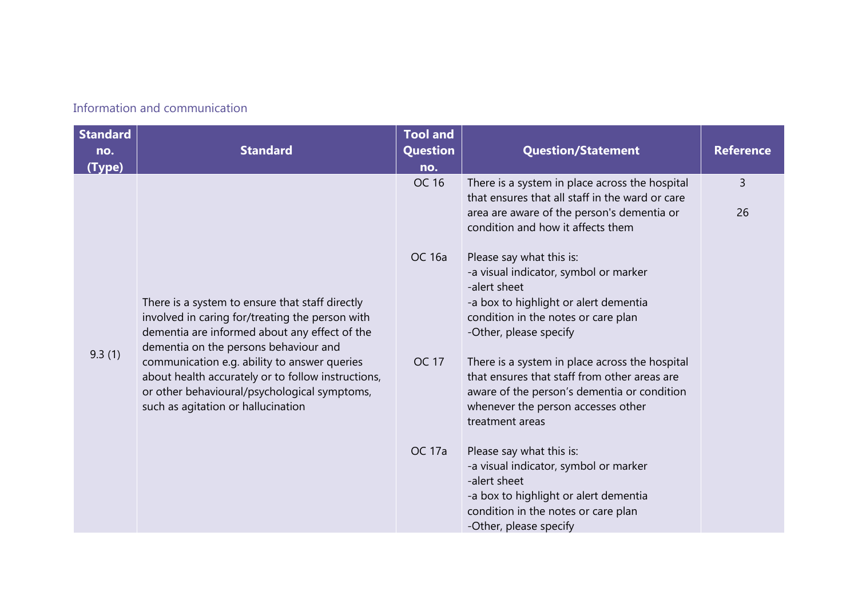### Information and communication

| <b>Standard</b><br>no.<br>(Type) | <b>Standard</b>                                                                                                                                                                              | <b>Tool and</b><br><b>Question</b><br>no. | <b>Question/Statement</b>                                                                                                                                                                              | <b>Reference</b>     |
|----------------------------------|----------------------------------------------------------------------------------------------------------------------------------------------------------------------------------------------|-------------------------------------------|--------------------------------------------------------------------------------------------------------------------------------------------------------------------------------------------------------|----------------------|
|                                  |                                                                                                                                                                                              | OC 16                                     | There is a system in place across the hospital<br>that ensures that all staff in the ward or care<br>area are aware of the person's dementia or<br>condition and how it affects them                   | $\overline{3}$<br>26 |
|                                  | There is a system to ensure that staff directly<br>involved in caring for/treating the person with<br>dementia are informed about any effect of the<br>dementia on the persons behaviour and | <b>OC 16a</b>                             | Please say what this is:<br>-a visual indicator, symbol or marker<br>-alert sheet<br>-a box to highlight or alert dementia<br>condition in the notes or care plan<br>-Other, please specify            |                      |
| 9.3(1)                           | communication e.g. ability to answer queries<br>about health accurately or to follow instructions,<br>or other behavioural/psychological symptoms,<br>such as agitation or hallucination     | <b>OC 17</b>                              | There is a system in place across the hospital<br>that ensures that staff from other areas are<br>aware of the person's dementia or condition<br>whenever the person accesses other<br>treatment areas |                      |
|                                  |                                                                                                                                                                                              | <b>OC 17a</b>                             | Please say what this is:<br>-a visual indicator, symbol or marker<br>-alert sheet<br>-a box to highlight or alert dementia<br>condition in the notes or care plan<br>-Other, please specify            |                      |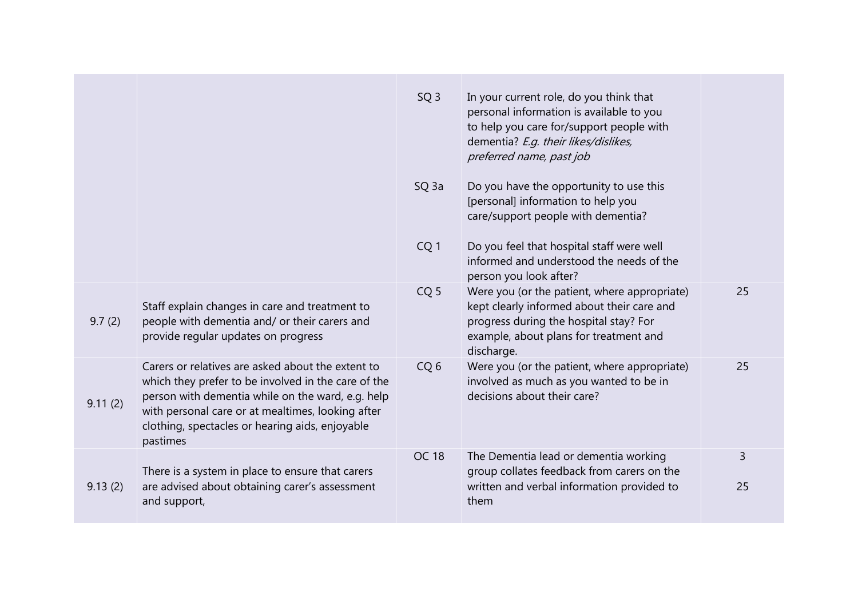|         |                                                                                                                                                                                                                                                                                   | SQ <sub>3</sub>  | In your current role, do you think that<br>personal information is available to you<br>to help you care for/support people with<br>dementia? E.g. their likes/dislikes,<br>preferred name, past job |         |
|---------|-----------------------------------------------------------------------------------------------------------------------------------------------------------------------------------------------------------------------------------------------------------------------------------|------------------|-----------------------------------------------------------------------------------------------------------------------------------------------------------------------------------------------------|---------|
|         |                                                                                                                                                                                                                                                                                   | SQ <sub>3a</sub> | Do you have the opportunity to use this<br>[personal] information to help you<br>care/support people with dementia?                                                                                 |         |
|         |                                                                                                                                                                                                                                                                                   | CQ <sub>1</sub>  | Do you feel that hospital staff were well<br>informed and understood the needs of the<br>person you look after?                                                                                     |         |
| 9.7(2)  | Staff explain changes in care and treatment to<br>people with dementia and/ or their carers and<br>provide regular updates on progress                                                                                                                                            | CQ <sub>5</sub>  | Were you (or the patient, where appropriate)<br>kept clearly informed about their care and<br>progress during the hospital stay? For<br>example, about plans for treatment and<br>discharge.        | 25      |
| 9.11(2) | Carers or relatives are asked about the extent to<br>which they prefer to be involved in the care of the<br>person with dementia while on the ward, e.g. help<br>with personal care or at mealtimes, looking after<br>clothing, spectacles or hearing aids, enjoyable<br>pastimes | CQ <sub>6</sub>  | Were you (or the patient, where appropriate)<br>involved as much as you wanted to be in<br>decisions about their care?                                                                              | 25      |
| 9.13(2) | There is a system in place to ensure that carers<br>are advised about obtaining carer's assessment<br>and support,                                                                                                                                                                | <b>OC 18</b>     | The Dementia lead or dementia working<br>group collates feedback from carers on the<br>written and verbal information provided to<br>them                                                           | 3<br>25 |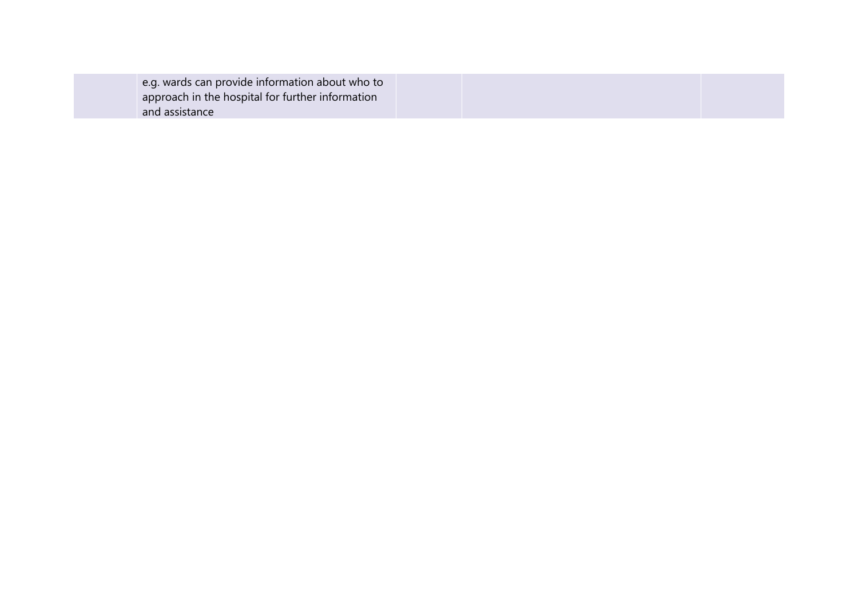|--|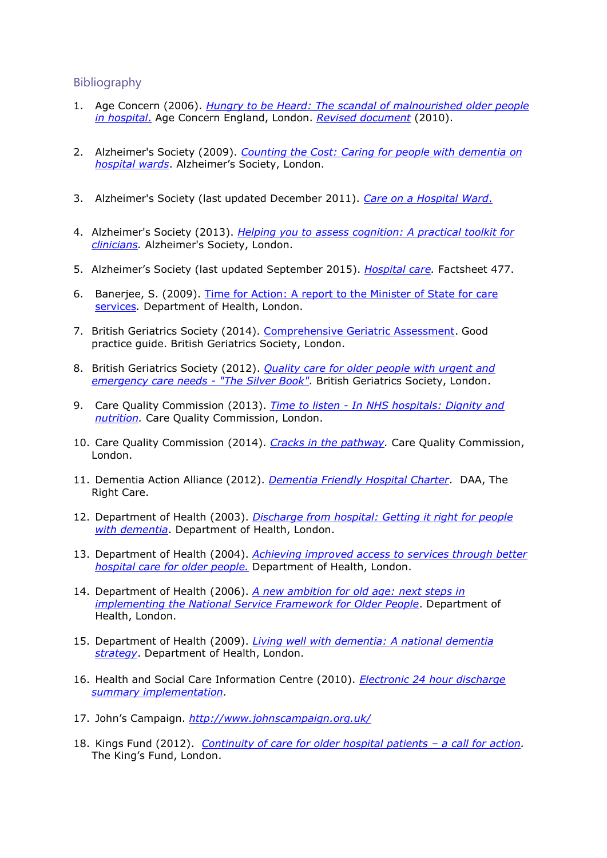#### Bibliography

- 1. Age Concern (2006). *[Hungry to be Heard: The scandal of malnourished older people](http://www.scie.org.uk/publications/guides/guide15/files/hungrytobeheard.pdf?res=true)  [in hospital](http://www.scie.org.uk/publications/guides/guide15/files/hungrytobeheard.pdf?res=true)*. Age Concern England, London. *[Revised document](https://www.ageuk.org.uk/brandpartnerglobal/londonvpp/documents/still_hungry_to_be_heard_report.pdf)* (2010).
- 2. Alzheimer's Society (2009). *[Counting the Cost: Caring for people with dementia on](https://www.ahsw.org.uk/userfiles/Arts%20&%20Dementia%20files/Counting_the_cost_report.pdf)  [hospital wards](https://www.ahsw.org.uk/userfiles/Arts%20&%20Dementia%20files/Counting_the_cost_report.pdf)*. Alzheimer's Society, London.
- 3. Alzheimer's Society (last updated December 2011). *[Care on a Hospital Ward](https://www.alzheimers.org.uk/get-support/help-dementia-care/going-into-hospital#content-start)*.
- 4. Alzheimer's Society (2013). *[Helping you to assess cognition: A practical toolkit for](https://www.alzheimers.org.uk/assessing-cognition-older-people-practical-toolkit-health-professionals)  [clinicians.](https://www.alzheimers.org.uk/assessing-cognition-older-people-practical-toolkit-health-professionals)* Alzheimer's Society, London.
- 5. Alzheimer's Society (last updated September 2015). *[Hospital care.](https://www.alzheimers.org.uk/sites/default/files/migrate/downloads/factsheet_hospital_care.pdf)* Factsheet 477.
- 6. Banerjee, S. (2009). [Time for Action: A report to the Minister of State for care](http://webarchive.nationalarchives.gov.uk/20130104165557/http:/www.dh.gov.uk/en/Publicationsandstatistics/Publications/PublicationsPolicyAndGuidance/DH_108303)  [services](http://webarchive.nationalarchives.gov.uk/20130104165557/http:/www.dh.gov.uk/en/Publicationsandstatistics/Publications/PublicationsPolicyAndGuidance/DH_108303)*.* Department of Health, London.
- 7. British Geriatrics Society (2014). [Comprehensive Geriatric Assessment.](https://www.bgs.org.uk/sites/default/files/content/resources/files/2019-02-08/BGS%20Toolkit%20-%20FINAL%20FOR%20WEB_0.pdf) Good practice guide. British Geriatrics Society, London.
- 8. British Geriatrics Society (2012). *[Quality care for older people with urgent and](https://www.rcem.ac.uk/docs/College%20Guidelines/5z11.%20Silver%20Book%20-%20Short%20Version.pdf)  [emergency care needs -](https://www.rcem.ac.uk/docs/College%20Guidelines/5z11.%20Silver%20Book%20-%20Short%20Version.pdf) "The Silver Book".* British Geriatrics Society, London.
- 9. Care Quality Commission (2013). *Time to listen - [In NHS hospitals: Dignity and](https://www.cqc.org.uk/sites/default/files/documents/time_to_listen_-_nhs_hospitals_main_report_tag.pdf)  [nutrition.](https://www.cqc.org.uk/sites/default/files/documents/time_to_listen_-_nhs_hospitals_main_report_tag.pdf)* Care Quality Commission, London.
- 10. Care Quality Commission (2014). *[Cracks in the pathway.](http://www.cqc.org.uk/sites/default/files/20141009_cracks_in_the_pathway_final_0.pdf)* Care Quality Commission, London.
- 11. Dementia Action Alliance (2012). *[Dementia Friendly Hospital Charter](http://www.dementiaaction.org.uk/assets/0001/7070/DAA_BOOKLET_PROOF_26-06-2015.pdf)*. DAA, The Right Care.
- 12. Department of Health (2003). *[Discharge from hospital: Getting it right for people](http://webarchive.nationalarchives.gov.uk/+/www.dh.gov.uk/en/Publicationsandstatistics/Publications/PublicationsPolicyAndGuidance/DH_4007881)  [with dementia](http://webarchive.nationalarchives.gov.uk/+/www.dh.gov.uk/en/Publicationsandstatistics/Publications/PublicationsPolicyAndGuidance/DH_4007881)*. Department of Health, London.
- 13. Department of Health (2004). *[Achieving improved access to services through better](http://webarchive.nationalarchives.gov.uk/20040725174846/http:/dh.gov.uk/assetRoot/04/08/59/45/04085945.pdf)  [hospital care for older people.](http://webarchive.nationalarchives.gov.uk/20040725174846/http:/dh.gov.uk/assetRoot/04/08/59/45/04085945.pdf)* Department of Health, London.
- 14. Department of Health (2006). *[A new ambition for old age: next steps in](http://webarchive.nationalarchives.gov.uk/20080814090418/dh.gov.uk/en/Publicationsandstatistics/Publications/PublicationsPolicyAndGuidance/DH_4133941)  [implementing the National Service Framework for Older People](http://webarchive.nationalarchives.gov.uk/20080814090418/dh.gov.uk/en/Publicationsandstatistics/Publications/PublicationsPolicyAndGuidance/DH_4133941)*. Department of Health, London.
- 15. Department of Health (2009). *[Living well with dementia: A national dementia](https://www.gov.uk/government/publications/living-well-with-dementia-a-national-dementia-strategy)  [strategy](https://www.gov.uk/government/publications/living-well-with-dementia-a-national-dementia-strategy)*. Department of Health, London.
- 16. Health and Social Care Information Centre (2010). *[Electronic 24 hour discharge](http://webarchive.nationalarchives.gov.uk/20130503093318/http:/www.connectingforhealth.nhs.uk/systemsandservices/clinrecords/24hour)  [summary implementation.](http://webarchive.nationalarchives.gov.uk/20130503093318/http:/www.connectingforhealth.nhs.uk/systemsandservices/clinrecords/24hour)*
- 17. John's Campaign. *<http://www.johnscampaign.org.uk/>*
- 18. Kings Fund (2012). *[Continuity of care for older hospital patients](http://www.kingsfund.org.uk/sites/files/kf/field/field_publication_file/continuity-of-care-for-older-hospital-patients-mar-2012.pdf) – a call for action.*  The King's Fund, London.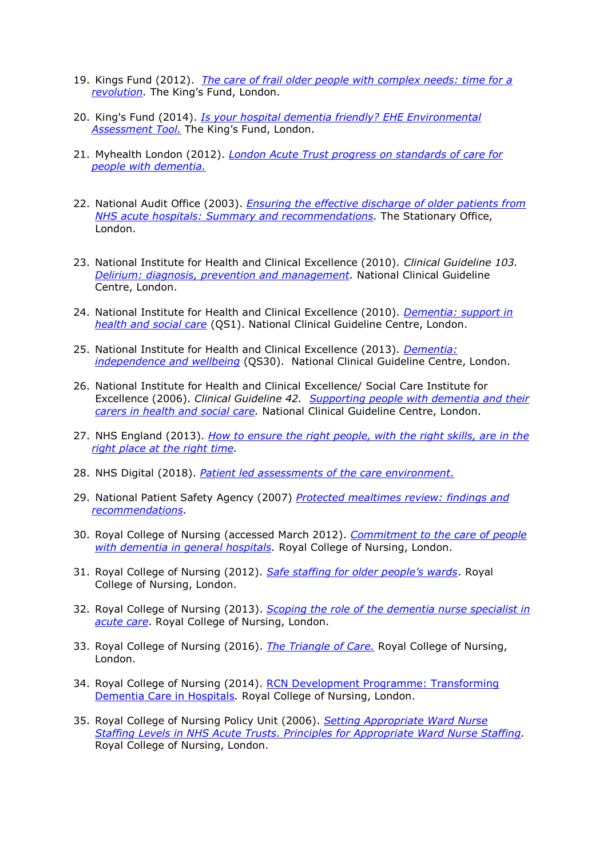- 19. Kings Fund (2012). *[The care of frail older people with complex needs: time for a](http://www.kingsfund.org.uk/sites/files/kf/field/field_publication_file/the-care-of-frail-older-people-with-complex-needs-mar-2012.pdf)  [revolution.](http://www.kingsfund.org.uk/sites/files/kf/field/field_publication_file/the-care-of-frail-older-people-with-complex-needs-mar-2012.pdf)* The King's Fund, London.
- 20. King's Fund (2014). *[Is your hospital dementia friendly? EHE Environmental](https://www.kingsfund.org.uk/projects/enhancing-healing-environment/ehe-design-dementia)  [Assessment Tool.](https://www.kingsfund.org.uk/projects/enhancing-healing-environment/ehe-design-dementia)* The King's Fund, London.
- 21. Myhealth London (2012). *[London Acute Trust progress on standards of care for](https://www.myhealth.london.nhs.uk/sites/default/files/u3246/TrustProgress.pdf)  [people with dementia.](https://www.myhealth.london.nhs.uk/sites/default/files/u3246/TrustProgress.pdf)*
- 22. National Audit Office (2003). *[Ensuring the effective discharge of older patients from](https://www.nao.org.uk/wp-content/uploads/2003/02/0203392.pdf)  [NHS acute hospitals: Summary and recommendations.](https://www.nao.org.uk/wp-content/uploads/2003/02/0203392.pdf)* The Stationary Office, London.
- 23. National Institute for Health and Clinical Excellence (2010). *Clinical Guideline 103. [Delirium: diagnosis, prevention and management.](http://www.nice.org.uk/nicemedia/live/13060/49909/49909.pdf)* National Clinical Guideline Centre, London.
- 24. National Institute for Health and Clinical Excellence (2010). *[Dementia: support in](https://www.nice.org.uk/guidance/qs1)  [health and social care](https://www.nice.org.uk/guidance/qs1)* (QS1). National Clinical Guideline Centre, London.
- 25. National Institute for Health and Clinical Excellence (2013). *[Dementia:](https://www.nice.org.uk/guidance/qs30)  [independence and wellbeing](https://www.nice.org.uk/guidance/qs30)* (QS30). National Clinical Guideline Centre, London.
- 26. National Institute for Health and Clinical Excellence/ Social Care Institute for Excellence (2006). *Clinical Guideline 42. [Supporting people with dementia and their](https://www.scie.org.uk/publications/misc/dementia/dementia-fullguideline.pdf?res=true)  [carers in health and social care.](https://www.scie.org.uk/publications/misc/dementia/dementia-fullguideline.pdf?res=true)* National Clinical Guideline Centre, London.
- 27. NHS England (2013). *[How to ensure the right people, with the right skills, are in the](http://www.england.nhs.uk/wp-content/uploads/2013/11/nqb-how-to-guid.pdf)  [right place at the right time.](http://www.england.nhs.uk/wp-content/uploads/2013/11/nqb-how-to-guid.pdf)*
- 28. NHS Digital (2018). *[Patient led assessments of the care environment.](https://digital.nhs.uk/data-and-information/areas-of-interest/estates-and-facilities/patient-led-assessments-of-the-care-environment-place)*
- 29. National Patient Safety Agency (2007) *[Protected mealtimes review: findings and](http://www.nrls.npsa.nhs.uk/resources/patient-safety-topics/patient-treatment-procedure/?entryid45=59806)  [recommendations.](http://www.nrls.npsa.nhs.uk/resources/patient-safety-topics/patient-treatment-procedure/?entryid45=59806)*
- 30. Royal College of Nursing (accessed March 2012). *[Commitment to the care of people](https://www.rcn.org.uk/professional-development/publications/pub-004235)  with dementia in general hospitals*. Royal College of Nursing, London.
- 31. Royal College of Nursing (2012). *[Safe staffing for older people's wards](https://www.rcn.org.uk/professional-development/publications/pub-004301)*. Royal College of Nursing, London.
- 32. Royal College of Nursing (2013). *[Scoping the role of the dementia nurse specialist in](https://www.rcn.org.uk/professional-development/publications/pub-004429)  [acute care](https://www.rcn.org.uk/professional-development/publications/pub-004429)*. Royal College of Nursing, London.
- 33. Royal College of Nursing (2016). *[The Triangle of Care.](https://professionals.carers.org/sites/default/files/the_triangle_of_care_carers_included_best_practice_in_dementia_care_-_final.pdf)* Royal College of Nursing, London.
- 34. Royal College of Nursing (2014). RCN Development Programme: Transforming Dementia Care in Hospitals*.* Royal College of Nursing, London.
- 35. Royal College of Nursing Policy Unit (2006). *[Setting Appropriate Ward Nurse](https://www.rcn.org.uk/about-us/policy-briefings/pol-1506)  [Staffing Levels in NHS Acute Trusts. Principles for Appropriate Ward Nurse Staffing.](https://www.rcn.org.uk/about-us/policy-briefings/pol-1506)*  Royal College of Nursing, London.